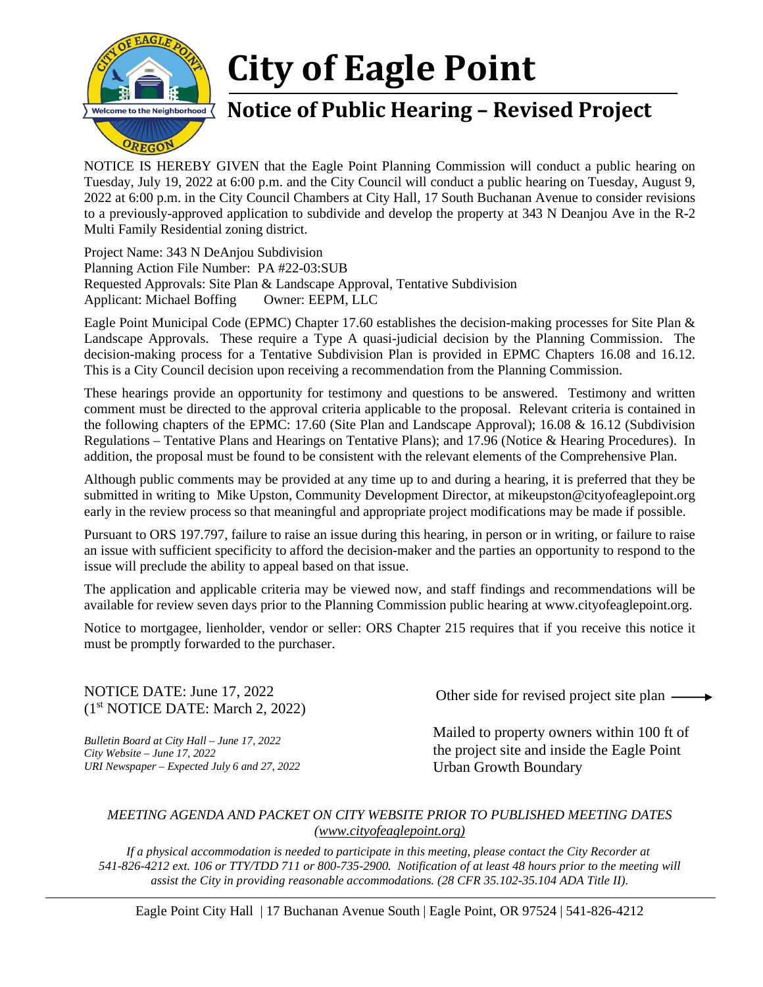

## **City of Eagle Point**

## **Notice of Public Hearing – Revised Project**

NOTICE IS HEREBY GIVEN that the Eagle Point Planning Commission will conduct a public hearing on Tuesday, July 19, 2022 at 6:00 p.m. and the City Council will conduct a public hearing on Tuesday, August 9, 2022 at 6:00 p.m. in the City Council Chambers at City Hall, 17 South Buchanan Avenue to consider revisions to a previously-approved application to subdivide and develop the property at 343 N Deanjou Ave in the R-2 Multi Family Residential zoning district.

Project Name: 343 N DeAnjou Subdivision Planning Action File Number: PA #22-03:SUB Requested Approvals: Site Plan & Landscape Approval, Tentative Subdivision Applicant: Michael Boffing Owner: EEPM, LLC

Eagle Point Municipal Code (EPMC) Chapter 17.60 establishes the decision-making processes for Site Plan & Landscape Approvals. These require a Type A quasi-judicial decision by the Planning Commission. The decision-making process for a Tentative Subdivision Plan is provided in EPMC Chapters 16.08 and 16.12. This is a City Council decision upon receiving a recommendation from the Planning Commission.

These hearings provide an opportunity for testimony and questions to be answered. Testimony and written comment must be directed to the approval criteria applicable to the proposal. Relevant criteria is contained in the following chapters of the EPMC: 17.60 (Site Plan and Landscape Approval); 16.08 & 16.12 (Subdivision Regulations – Tentative Plans and Hearings on Tentative Plans); and 17.96 (Notice & Hearing Procedures). In addition, the proposal must be found to be consistent with the relevant elements of the Comprehensive Plan.

Although public comments may be provided at any time up to and during a hearing, it is preferred that they be submitted in writing to Mike Upston, Community Development Director, at mikeupston@cityofeaglepoint.org early in the review process so that meaningful and appropriate project modifications may be made if possible.

Pursuant to ORS 197.797, failure to raise an issue during this hearing, in person or in writing, or failure to raise an issue with sufficient specificity to afford the decision-maker and the parties an opportunity to respond to the issue will preclude the ability to appeal based on that issue.

The application and applicable criteria may be viewed now, and staff findings and recommendations will be available for review seven days prior to the Planning Commission public hearing at [www.cityofeaglepoint.org.](http://www.cityofeaglepoint.org/)

Notice to mortgagee, lienholder, vendor or seller: ORS Chapter 215 requires that if you receive this notice it must be promptly forwarded to the purchaser.

NOTICE DATE: June 17, 2022 (1st NOTICE DATE: March 2, 2022)

*Bulletin Board at City Hall – June 17, 2022 City Website – June 17, 2022 URI Newspaper – Expected July 6 and 27, 2022* Other side for revised project site plan

Mailed to property owners within 100 ft of the project site and inside the Eagle Point Urban Growth Boundary

## *MEETING AGENDA AND PACKET ON CITY WEBSITE PRIOR TO PUBLISHED MEETING DATES (www.cityofeaglepoint.org)*

*If a physical accommodation is needed to participate in this meeting, please contact the City Recorder at 541-826-4212 ext. 106 or TTY/TDD 711 or 800-735-2900. Notification of at least 48 hours prior to the meeting will assist the City in providing reasonable accommodations. (28 CFR 35.102-35.104 ADA Title II).*